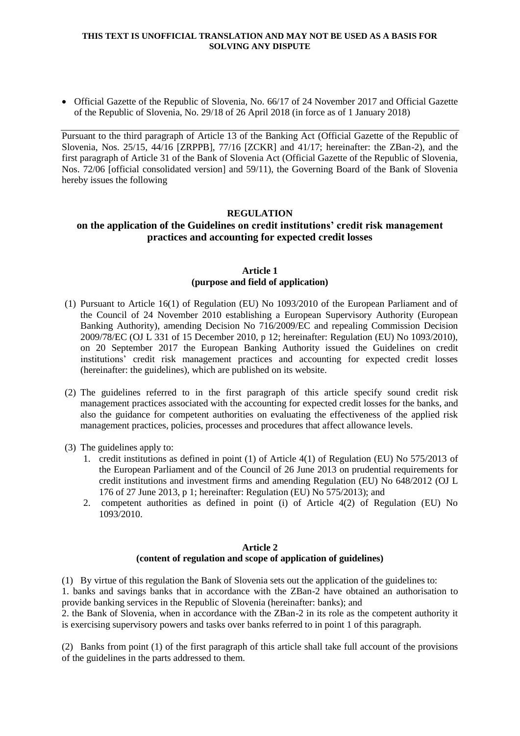#### **THIS TEXT IS UNOFFICIAL TRANSLATION AND MAY NOT BE USED AS A BASIS FOR SOLVING ANY DISPUTE**

 Official Gazette of the Republic of Slovenia, No. 66/17 of 24 November 2017 and Official Gazette of the Republic of Slovenia, No. 29/18 of 26 April 2018 (in force as of 1 January 2018)

Pursuant to the third paragraph of Article 13 of the Banking Act (Official Gazette of the Republic of Slovenia, Nos. 25/15, 44/16 [ZRPPB], 77/16 [ZCKR] and 41/17; hereinafter: the ZBan-2), and the first paragraph of Article 31 of the Bank of Slovenia Act (Official Gazette of the Republic of Slovenia, Nos. 72/06 [official consolidated version] and 59/11), the Governing Board of the Bank of Slovenia hereby issues the following

## **REGULATION**

# **on the application of the Guidelines on credit institutions' credit risk management practices and accounting for expected credit losses**

### **Article 1 (purpose and field of application)**

- (1) Pursuant to Article 16(1) of Regulation (EU) No 1093/2010 of the European Parliament and of the Council of 24 November 2010 establishing a European Supervisory Authority (European Banking Authority), amending Decision No 716/2009/EC and repealing Commission Decision 2009/78/EC (OJ L 331 of 15 December 2010, p 12; hereinafter: Regulation (EU) No 1093/2010), on 20 September 2017 the European Banking Authority issued the Guidelines on credit institutions' credit risk management practices and accounting for expected credit losses (hereinafter: the guidelines), which are published on its website.
- (2) The guidelines referred to in the first paragraph of this article specify sound credit risk management practices associated with the accounting for expected credit losses for the banks, and also the guidance for competent authorities on evaluating the effectiveness of the applied risk management practices, policies, processes and procedures that affect allowance levels.
- (3) The guidelines apply to:
	- 1. credit institutions as defined in point (1) of Article 4(1) of Regulation (EU) No 575/2013 of the European Parliament and of the Council of 26 June 2013 on prudential requirements for credit institutions and investment firms and amending Regulation (EU) No 648/2012 (OJ L 176 of 27 June 2013, p 1; hereinafter: Regulation (EU) No 575/2013); and
	- 2. competent authorities as defined in point (i) of Article 4(2) of Regulation (EU) No 1093/2010.

## **Article 2 (content of regulation and scope of application of guidelines)**

(1) By virtue of this regulation the Bank of Slovenia sets out the application of the guidelines to: 1. banks and savings banks that in accordance with the ZBan-2 have obtained an authorisation to provide banking services in the Republic of Slovenia (hereinafter: banks); and

2. the Bank of Slovenia, when in accordance with the ZBan-2 in its role as the competent authority it is exercising supervisory powers and tasks over banks referred to in point 1 of this paragraph.

(2) Banks from point (1) of the first paragraph of this article shall take full account of the provisions of the guidelines in the parts addressed to them.